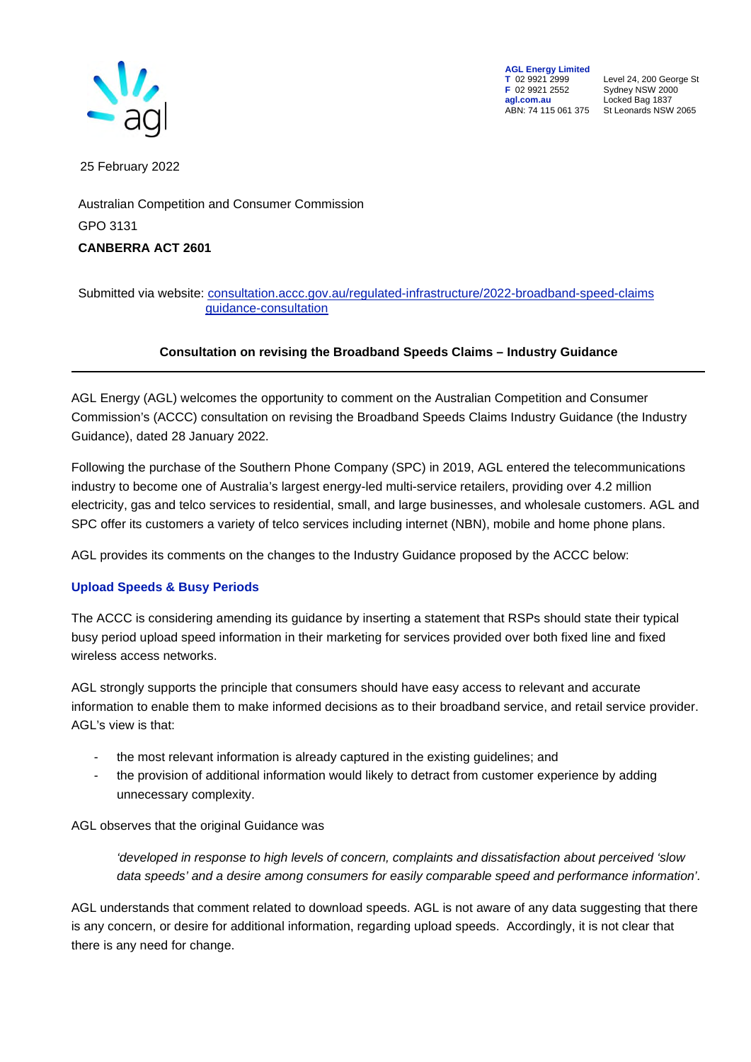

**AGL Energy Limited**<br> **T** 02 9921 2999<br> **F** 02 9921 2552 **F** 02 9921 2552 Sydney NSW 2000 **agl.com.au** Locked Bag 1837

**T** 02 9921 2999 Level 24, 200 George St ABN: 74 115 061 375 St Leonards NSW 2065

25 February 2022

Australian Competition and Consumer Commission GPO 3131 **CANBERRA ACT 2601** 

## Submitted via website: [consultation.accc.gov.au/regulated-infrastructure/2022-broadband-speed-claims](https://aglenergy.sharepoint.com/teams/TelcoSubmissions/Shared%20Documents/General/AGL%20and%20SPC%20offer%20its%20customers%20a%20variety%20of%20telco%20services%20including%20mobile%20and%20home%20phone%20plans,%20NBN%20and%20fixed%20wireless,%20with%20SPC%20also%20offering%20satellite%20and%20broadband%20products.)  [guidance-consultation](https://aglenergy.sharepoint.com/teams/TelcoSubmissions/Shared%20Documents/General/AGL%20and%20SPC%20offer%20its%20customers%20a%20variety%20of%20telco%20services%20including%20mobile%20and%20home%20phone%20plans,%20NBN%20and%20fixed%20wireless,%20with%20SPC%20also%20offering%20satellite%20and%20broadband%20products.)

## **Consultation on revising the Broadband Speeds Claims – Industry Guidance**

AGL Energy (AGL) welcomes the opportunity to comment on the Australian Competition and Consumer Commission's (ACCC) consultation on revising the Broadband Speeds Claims Industry Guidance (the Industry Guidance), dated 28 January 2022.

Following the purchase of the Southern Phone Company (SPC) in 2019, AGL entered the telecommunications industry to become one of Australia's largest energy-led multi-service retailers, providing over 4.2 million electricity, gas and telco services to residential, small, and large businesses, and wholesale customers. AGL and SPC offer its customers a variety of telco services including internet (NBN), mobile and home phone plans.

AGL provides its comments on the changes to the Industry Guidance proposed by the ACCC below:

## **Upload Speeds & Busy Periods**

The ACCC is considering amending its guidance by inserting a statement that RSPs should state their typical busy period upload speed information in their marketing for services provided over both fixed line and fixed wireless access networks.

AGL strongly supports the principle that consumers should have easy access to relevant and accurate information to enable them to make informed decisions as to their broadband service, and retail service provider. AGL's view is that:

- the most relevant information is already captured in the existing guidelines; and
- the provision of additional information would likely to detract from customer experience by adding unnecessary complexity.

AGL observes that the original Guidance was

*'developed in response to high levels of concern, complaints and dissatisfaction about perceived 'slow data speeds' and a desire among consumers for easily comparable speed and performance information'.*

AGL understands that comment related to download speeds. AGL is not aware of any data suggesting that there is any concern, or desire for additional information, regarding upload speeds. Accordingly, it is not clear that there is any need for change.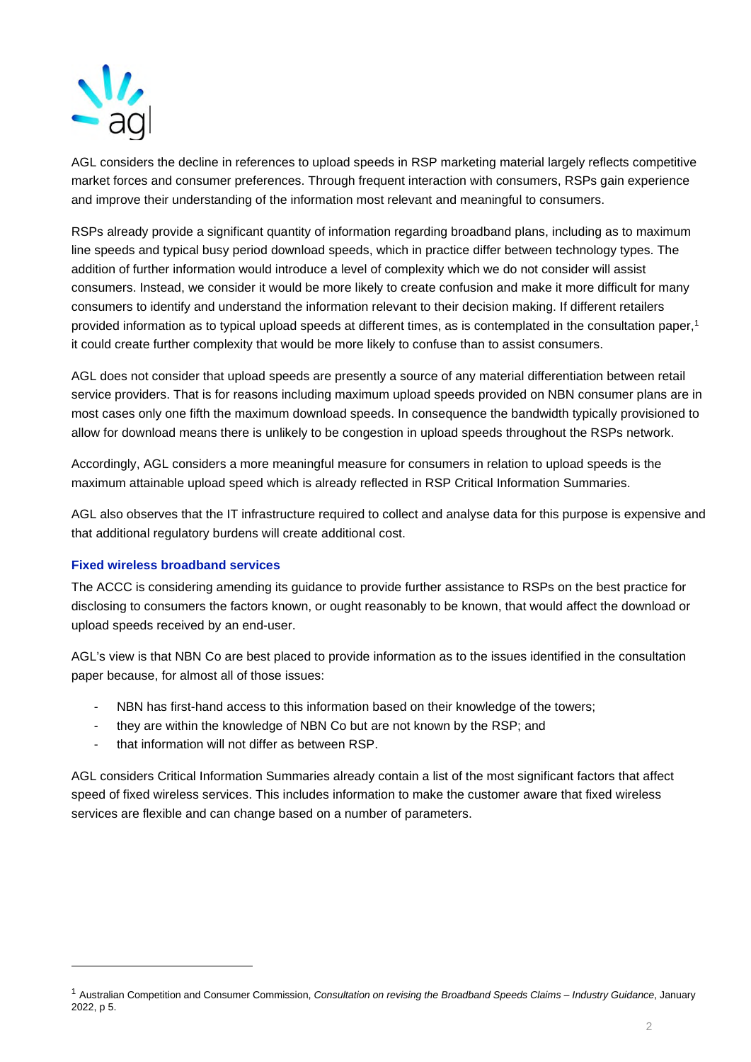

AGL considers the decline in references to upload speeds in RSP marketing material largely reflects competitive market forces and consumer preferences. Through frequent interaction with consumers, RSPs gain experience and improve their understanding of the information most relevant and meaningful to consumers.

RSPs already provide a significant quantity of information regarding broadband plans, including as to maximum line speeds and typical busy period download speeds, which in practice differ between technology types. The addition of further information would introduce a level of complexity which we do not consider will assist consumers. Instead, we consider it would be more likely to create confusion and make it more difficult for many consumers to identify and understand the information relevant to their decision making. If different retailers provided information as to typical upload speeds at different times, as is contemplated in the consultation paper,<sup>1</sup> it could create further complexity that would be more likely to confuse than to assist consumers.

AGL does not consider that upload speeds are presently a source of any material differentiation between retail service providers. That is for reasons including maximum upload speeds provided on NBN consumer plans are in most cases only one fifth the maximum download speeds. In consequence the bandwidth typically provisioned to allow for download means there is unlikely to be congestion in upload speeds throughout the RSPs network.

Accordingly, AGL considers a more meaningful measure for consumers in relation to upload speeds is the maximum attainable upload speed which is already reflected in RSP Critical Information Summaries.

AGL also observes that the IT infrastructure required to collect and analyse data for this purpose is expensive and that additional regulatory burdens will create additional cost.

## **Fixed wireless broadband services**

The ACCC is considering amending its guidance to provide further assistance to RSPs on the best practice for disclosing to consumers the factors known, or ought reasonably to be known, that would affect the download or upload speeds received by an end-user.

AGL's view is that NBN Co are best placed to provide information as to the issues identified in the consultation paper because, for almost all of those issues:

- NBN has first-hand access to this information based on their knowledge of the towers;
- they are within the knowledge of NBN Co but are not known by the RSP; and
- that information will not differ as between RSP.

AGL considers Critical Information Summaries already contain a list of the most significant factors that affect speed of fixed wireless services. This includes information to make the customer aware that fixed wireless services are flexible and can change based on a number of parameters.

<sup>1</sup> Australian Competition and Consumer Commission, *Consultation on revising the Broadband Speeds Claims – Industry Guidance*, January 2022, p 5.